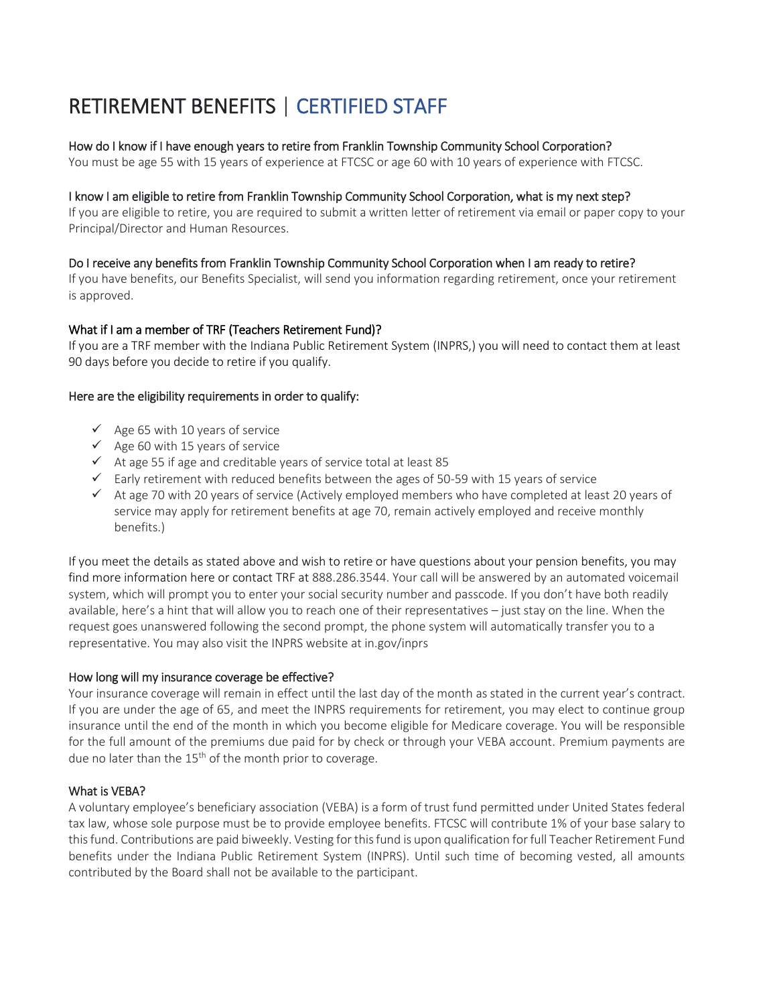# RETIREMENT BENEFITS | CERTIFIED STAFF

## How do I know if I have enough years to retire from Franklin Township Community School Corporation?

You must be age 55 with 15 years of experience at FTCSC or age 60 with 10 years of experience with FTCSC.

## I know I am eligible to retire from Franklin Township Community School Corporation, what is my next step?

If you are eligible to retire, you are required to submit a written letter of retirement via email or paper copy to your Principal/Director and Human Resources.

## Do I receive any benefits from Franklin Township Community School Corporation when I am ready to retire?

If you have benefits, our Benefits Specialist, will send you information regarding retirement, once your retirement is approved.

## What if I am a member of TRF (Teachers Retirement Fund)?

If you are a TRF member with the Indiana Public Retirement System (INPRS,) you will need to contact them at least 90 days before you decide to retire if you qualify.

## Here are the eligibility requirements in order to qualify:

- $\checkmark$  Age 65 with 10 years of service
- $\checkmark$  Age 60 with 15 years of service
- $\checkmark$  At age 55 if age and creditable years of service total at least 85
- $\checkmark$  Early retirement with reduced benefits between the ages of 50-59 with 15 years of service
- $\checkmark$  At age 70 with 20 years of service (Actively employed members who have completed at least 20 years of service may apply for retirement benefits at age 70, remain actively employed and receive monthly benefits.)

If you meet the details as stated above and wish to retire or have questions about your pension benefits, you may find more information here or contact TRF at 888.286.3544. Your call will be answered by an automated voicemail system, which will prompt you to enter your social security number and passcode. If you don't have both readily available, here's a hint that will allow you to reach one of their representatives – just stay on the line. When the request goes unanswered following the second prompt, the phone system will automatically transfer you to a representative. You may also visit the INPRS website at in.gov/inprs

## How long will my insurance coverage be effective?

Your insurance coverage will remain in effect until the last day of the month as stated in the current year's contract. If you are under the age of 65, and meet the INPRS requirements for retirement, you may elect to continue group insurance until the end of the month in which you become eligible for Medicare coverage. You will be responsible for the full amount of the premiums due paid for by check or through your VEBA account. Premium payments are due no later than the  $15<sup>th</sup>$  of the month prior to coverage.

## What is VEBA?

A voluntary employee's beneficiary association (VEBA) is a form of trust fund permitted under United States federal tax law, whose sole purpose must be to provide employee benefits. FTCSC will contribute 1% of your base salary to this fund. Contributions are paid biweekly. Vesting for this fund is upon qualification for full Teacher Retirement Fund benefits under the Indiana Public Retirement System (INPRS). Until such time of becoming vested, all amounts contributed by the Board shall not be available to the participant.